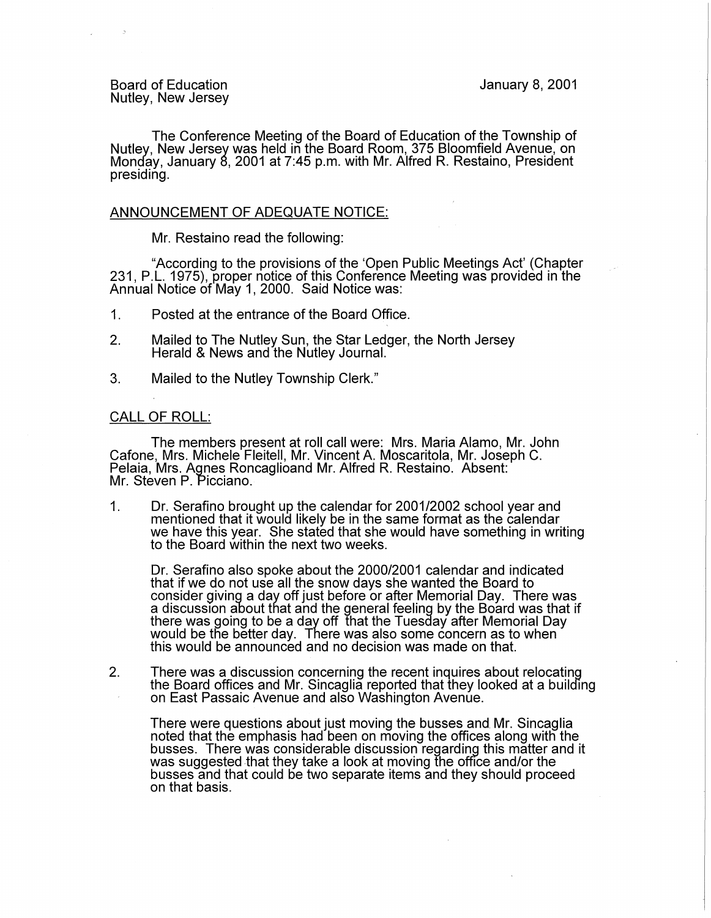The Conference Meeting of the Board of Education of the Township of Nutley, New Jersey was held in the Board Room, 375 Bloomfield Avenue, on Monday, January 8, 2001 at 7:45 p.m. with Mr. Alfred R. Restaino, President presiding.

## ANNOUNCEMENT OF ADEQUATE NOTICE:

Mr. Restaino read the following:

"According to the provisions of the 'Open Public Meetings Act' (Chapter 231, P.L. 1975), proper notice of this Conference Meeting was provided in the Annual Notice of May 1, 2000. Said Notice was:

- 1. Posted at the entrance of the Board Office.
- 2. Mailed to The Nutley Sun, the Star Ledger, the North Jersey Herald & News and the Nutley Journal.
- 3. Mailed to the Nutley Township Clerk."

## CALL OF ROLL:

The members present at roll call were: Mrs. Maria Alamo, Mr. John Cafone, Mrs. Michele Fleitell, Mr. Vincent A. Moscaritola, Mr. Joseph C. Pelaia, Mrs. Agnes Roncaglioand Mr. Alfred R. Restaino. Absent: Mr. Steven P. Picciano.

1. Dr. Serafino brought up the calendar for 2001/2002 school year and mentioned that it would likely be in the same format as the calendar we have this year. She stated that she would have something in writing to the Board within the next two weeks.

Dr. Serafino also spoke about the 2000/2001 calendar and indicated that if we do not use all the snow days she wanted the Board to consider giving a day off just before or after Memorial Day. There was a discussion about that and the general feeling by the Board was that if there was going to be a day off that the Tuesday after Memorial Day would be the better day. There was also some concern as to when this would be announced and no decision was made on that.

2. There was a discussion concerning the recent inquires about relocating the Board offices and Mr. Sincaglia reported that they looked at a building on East Passaic Avenue and also Washington Avenue.

There were questions about just moving the busses and Mr. Sincaglia noted that the emphasis had been on moving the offices along with the busses. There was considerable discussion regarding this matter and it was suggested that they take a look at moving the office and/or the busses and that could be two separate items and they should proceed on that basis.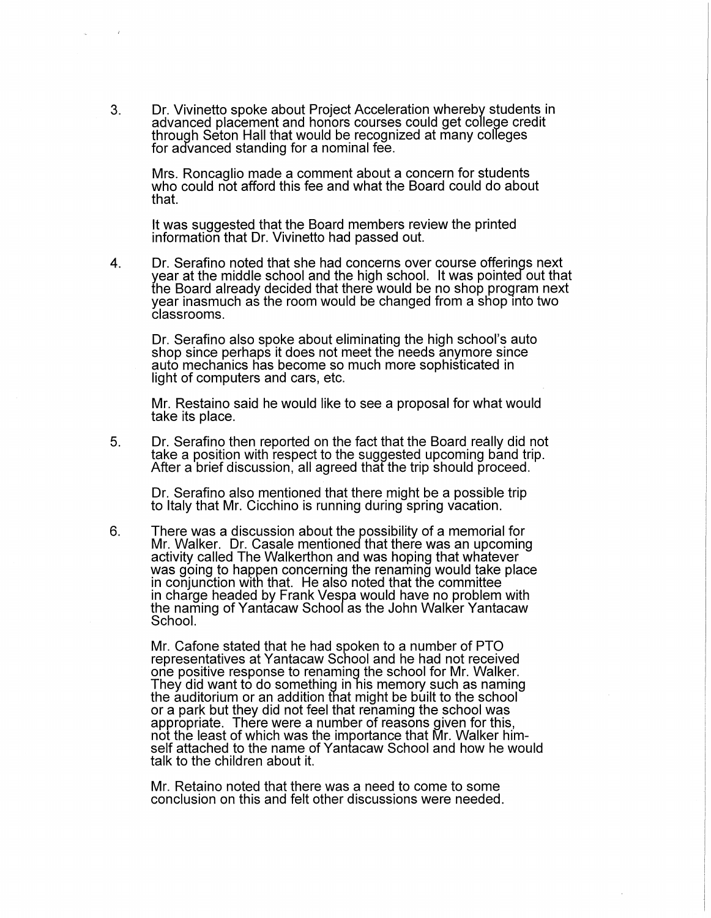3. Dr. Vivinetto spoke about Project Acceleration whereby students in advanced placement and honors courses could get college credit through Seton Hall that would be recognized at many colleges for advanced standing for a nominal fee.

Mrs. Roncaglio made a comment about a concern for students who could not afford this fee and what the Board could do about that.

It was suggested that the Board members review the printed information that Dr. Vivinetto had passed out.

4. Dr. Serafino noted that she had concerns over course offerings next year at the middle school and the high school. It was pointed out that the Board already decided that there would be no shop program next year inasmuch as the room would be changed from a shop into two classrooms.

Dr. Serafino also spoke about eliminating the high school's auto shop since perhaps it does not meet the needs anymore since auto mechanics has become so much more sophisticated in light of computers and cars, etc.

Mr. Restaino said he would like to see a proposal for what would take its place.

5. Dr. Serafino then reported on the fact that the Board really did not take a position with respect to the suggested upcoming band trip. After a brief discussion, all agreed that the trip should proceed.

Dr. Serafino also mentioned that there might be a possible trip to Italy that Mr. Cicchino is running during spring vacation.

6. There was a discussion about the possibility of a memorial for Mr. Walker. Dr. Casale mentioned that there was an upcoming activity called The Walkerthon and was hoping that whatever was going to happen concerning the renaming would take place in conjunction with that. He also noted that the committee in charge headed by Frank Vespa would have no problem with the naming of Yantacaw School as the John Walker Yantacaw School.

Mr. Cafone stated that he had spoken to a number of PTO representatives at Yantacaw School and he had not received one positive response to renaming the school for Mr. Walker. They did want to do something in his memory such as naming the auditorium or an addition that might be built to the school or a park but they did not feel that renaming the school was appropriate. There were a number of reasons given for this, not the least of which was the importance that Mr. Walker himself attached to the name of Yantacaw School and how he would talk to the children about it.

Mr. Retaino noted that there was a need to come to some conclusion on this and felt other discussions were needed.